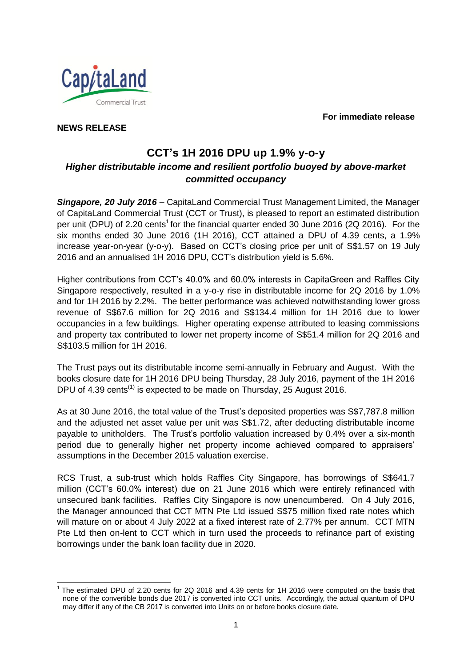**For immediate release**



**NEWS RELEASE**

# **CCT's 1H 2016 DPU up 1.9% y-o-y** *Higher distributable income and resilient portfolio buoyed by above-market committed occupancy*

*Singapore, 20 July 2016* – CapitaLand Commercial Trust Management Limited, the Manager of CapitaLand Commercial Trust (CCT or Trust), is pleased to report an estimated distribution per unit (DPU) of 2.20 cents<sup>1</sup> for the financial quarter ended 30 June 2016 (2Q 2016). For the six months ended 30 June 2016 (1H 2016), CCT attained a DPU of 4.39 cents, a 1.9% increase year-on-year (y-o-y). Based on CCT's closing price per unit of S\$1.57 on 19 July 2016 and an annualised 1H 2016 DPU, CCT's distribution yield is 5.6%.

Higher contributions from CCT's 40.0% and 60.0% interests in CapitaGreen and Raffles City Singapore respectively, resulted in a y-o-y rise in distributable income for 2Q 2016 by 1.0% and for 1H 2016 by 2.2%. The better performance was achieved notwithstanding lower gross revenue of S\$67.6 million for 2Q 2016 and S\$134.4 million for 1H 2016 due to lower occupancies in a few buildings. Higher operating expense attributed to leasing commissions and property tax contributed to lower net property income of S\$51.4 million for 2Q 2016 and S\$103.5 million for 1H 2016.

The Trust pays out its distributable income semi-annually in February and August. With the books closure date for 1H 2016 DPU being Thursday, 28 July 2016, payment of the 1H 2016 DPU of 4.39 cents<sup> $(1)$ </sup> is expected to be made on Thursday, 25 August 2016.

As at 30 June 2016, the total value of the Trust's deposited properties was S\$7,787.8 million and the adjusted net asset value per unit was S\$1.72, after deducting distributable income payable to unitholders. The Trust's portfolio valuation increased by 0.4% over a six-month period due to generally higher net property income achieved compared to appraisers' assumptions in the December 2015 valuation exercise.

RCS Trust, a sub-trust which holds Raffles City Singapore, has borrowings of S\$641.7 million (CCT's 60.0% interest) due on 21 June 2016 which were entirely refinanced with unsecured bank facilities. Raffles City Singapore is now unencumbered. On 4 July 2016, the Manager announced that CCT MTN Pte Ltd issued S\$75 million fixed rate notes which will mature on or about 4 July 2022 at a fixed interest rate of 2.77% per annum. CCT MTN Pte Ltd then on-lent to CCT which in turn used the proceeds to refinance part of existing borrowings under the bank loan facility due in 2020.

<sup>-</sup> $1$  The estimated DPU of 2.20 cents for 2Q 2016 and 4.39 cents for 1H 2016 were computed on the basis that none of the convertible bonds due 2017 is converted into CCT units. Accordingly, the actual quantum of DPU may differ if any of the CB 2017 is converted into Units on or before books closure date.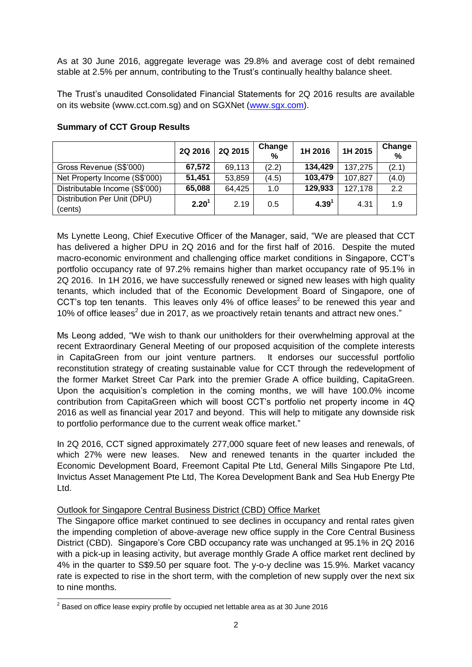As at 30 June 2016, aggregate leverage was 29.8% and average cost of debt remained stable at 2.5% per annum, contributing to the Trust's continually healthy balance sheet.

The Trust's unaudited Consolidated Financial Statements for 2Q 2016 results are available on its website (www.cct.com.sg) and on SGXNet [\(www.sgx.com\)](http://www.sgx.com/).

|                                        | 2Q 2016           | 2Q 2015 | Change<br>% | 1H 2016           | 1H 2015 | Change<br>% |
|----------------------------------------|-------------------|---------|-------------|-------------------|---------|-------------|
| Gross Revenue (S\$'000)                | 67,572            | 69,113  | (2.2)       | 134,429           | 137,275 | (2.1)       |
| Net Property Income (S\$'000)          | 51,451            | 53,859  | (4.5)       | 103,479           | 107,827 | (4.0)       |
| Distributable Income (S\$'000)         | 65,088            | 64,425  | 1.0         | 129,933           | 127,178 | 2.2         |
| Distribution Per Unit (DPU)<br>(cents) | 2.20 <sup>1</sup> | 2.19    | 0.5         | 4.39 <sup>1</sup> | 4.31    | 1.9         |

## **Summary of CCT Group Results**

Ms Lynette Leong, Chief Executive Officer of the Manager, said, "We are pleased that CCT has delivered a higher DPU in 2Q 2016 and for the first half of 2016. Despite the muted macro-economic environment and challenging office market conditions in Singapore, CCT's portfolio occupancy rate of 97.2% remains higher than market occupancy rate of 95.1% in 2Q 2016. In 1H 2016, we have successfully renewed or signed new leases with high quality tenants, which included that of the Economic Development Board of Singapore, one of CCT's top ten tenants. This leaves only 4% of office leases<sup>2</sup> to be renewed this year and 10% of office lea[s](#page-1-0)es $2$  due in 2017, as we proactively retain tenants and attract new ones."

<span id="page-1-0"></span>Ms Leong added, "We wish to thank our unitholders for their overwhelming approval at the recent Extraordinary General Meeting of our proposed acquisition of the complete interests in CapitaGreen from our joint venture partners. It endorses our successful portfolio reconstitution strategy of creating sustainable value for CCT through the redevelopment of the former Market Street Car Park into the premier Grade A office building, CapitaGreen. Upon the acquisition's completion in the coming months, we will have 100.0% income contribution from CapitaGreen which will boost CCT's portfolio net property income in 4Q 2016 as well as financial year 2017 and beyond. This will help to mitigate any downside risk to portfolio performance due to the current weak office market."

In 2Q 2016, CCT signed approximately 277,000 square feet of new leases and renewals, of which 27% were new leases. New and renewed tenants in the quarter included the Economic Development Board, Freemont Capital Pte Ltd, General Mills Singapore Pte Ltd, Invictus Asset Management Pte Ltd, The Korea Development Bank and Sea Hub Energy Pte Ltd.

### Outlook for Singapore Central Business District (CBD) Office Market

The Singapore office market continued to see declines in occupancy and rental rates given the impending completion of above-average new office supply in the Core Central Business District (CBD). Singapore's Core CBD occupancy rate was unchanged at 95.1% in 2Q 2016 with a pick-up in leasing activity, but average monthly Grade A office market rent declined by 4% in the quarter to S\$9.50 per square foot. The y-o-y decline was 15.9%. Market vacancy rate is expected to rise in the short term, with the completion of new supply over the next six to nine months.

<sup>-</sup> $^2$  Based on office lease expiry profile by occupied net lettable area as at 30 June 2016